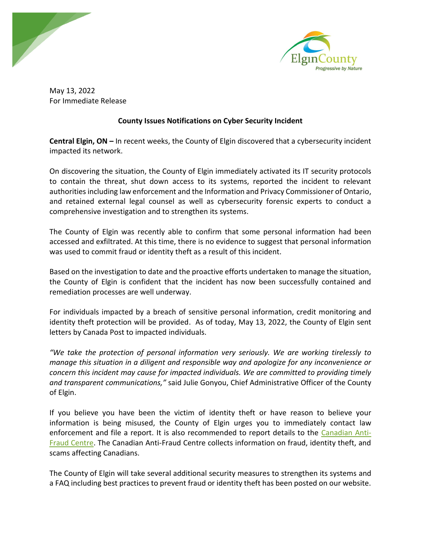



May 13, 2022 For Immediate Release

## **County Issues Notifications on Cyber Security Incident**

**Central Elgin, ON –** In recent weeks, the County of Elgin discovered that a cybersecurity incident impacted its network.

On discovering the situation, the County of Elgin immediately activated its IT security protocols to contain the threat, shut down access to its systems, reported the incident to relevant authorities including law enforcement and the Information and Privacy Commissioner of Ontario, and retained external legal counsel as well as cybersecurity forensic experts to conduct a comprehensive investigation and to strengthen its systems.

The County of Elgin was recently able to confirm that some personal information had been accessed and exfiltrated. At this time, there is no evidence to suggest that personal information was used to commit fraud or identity theft as a result of this incident.

Based on the investigation to date and the proactive efforts undertaken to manage the situation, the County of Elgin is confident that the incident has now been successfully contained and remediation processes are well underway.

For individuals impacted by a breach of sensitive personal information, credit monitoring and identity theft protection will be provided. As of today, May 13, 2022, the County of Elgin sent letters by Canada Post to impacted individuals.

*"We take the protection of personal information very seriously. We are working tirelessly to manage this situation in a diligent and responsible way and apologize for any inconvenience or concern this incident may cause for impacted individuals. We are committed to providing timely and transparent communications,"* said Julie Gonyou, Chief Administrative Officer of the County of Elgin.

If you believe you have been the victim of identity theft or have reason to believe your information is being misused, the County of Elgin urges you to immediately contact law enforcement and file a report. It is also recommended to report details to the [Canadian Anti-](https://www.antifraudcentre-centreantifraude.ca/)[Fraud Centre.](https://www.antifraudcentre-centreantifraude.ca/) The Canadian Anti-Fraud Centre collects information on fraud, identity theft, and scams affecting Canadians.

The County of Elgin will take several additional security measures to strengthen its systems and a FAQ including best practices to prevent fraud or identity theft has been posted on our website.